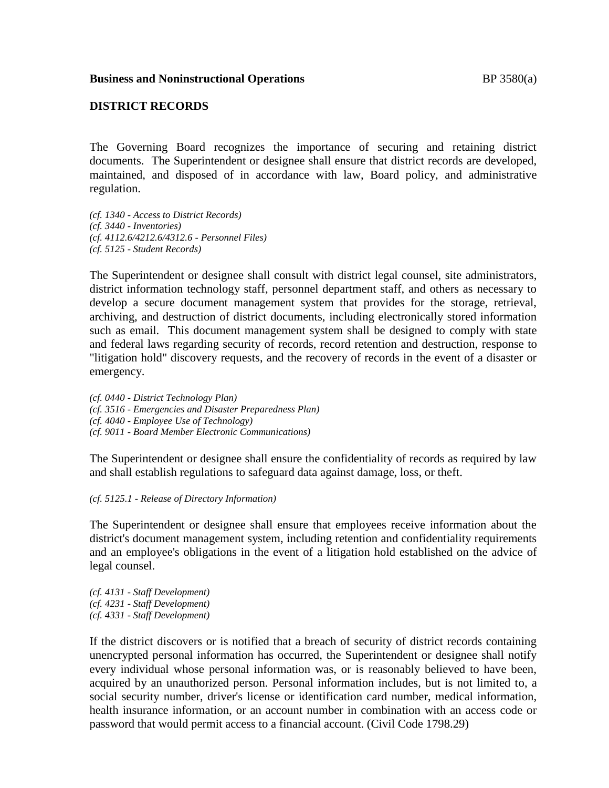## **DISTRICT RECORDS**

The Governing Board recognizes the importance of securing and retaining district documents. The Superintendent or designee shall ensure that district records are developed, maintained, and disposed of in accordance with law, Board policy, and administrative regulation.

*(cf. 1340 - Access to District Records) (cf. 3440 - Inventories) (cf. 4112.6/4212.6/4312.6 - Personnel Files) (cf. 5125 - Student Records)*

The Superintendent or designee shall consult with district legal counsel, site administrators, district information technology staff, personnel department staff, and others as necessary to develop a secure document management system that provides for the storage, retrieval, archiving, and destruction of district documents, including electronically stored information such as email. This document management system shall be designed to comply with state and federal laws regarding security of records, record retention and destruction, response to "litigation hold" discovery requests, and the recovery of records in the event of a disaster or emergency.

*(cf. 0440 - District Technology Plan) (cf. 3516 - Emergencies and Disaster Preparedness Plan) (cf. 4040 - Employee Use of Technology) (cf. 9011 - Board Member Electronic Communications)*

The Superintendent or designee shall ensure the confidentiality of records as required by law and shall establish regulations to safeguard data against damage, loss, or theft.

*(cf. 5125.1 - Release of Directory Information)*

The Superintendent or designee shall ensure that employees receive information about the district's document management system, including retention and confidentiality requirements and an employee's obligations in the event of a litigation hold established on the advice of legal counsel.

*(cf. 4131 - Staff Development) (cf. 4231 - Staff Development) (cf. 4331 - Staff Development)*

If the district discovers or is notified that a breach of security of district records containing unencrypted personal information has occurred, the Superintendent or designee shall notify every individual whose personal information was, or is reasonably believed to have been, acquired by an unauthorized person. Personal information includes, but is not limited to, a social security number, driver's license or identification card number, medical information, health insurance information, or an account number in combination with an access code or password that would permit access to a financial account. (Civil Code 1798.29)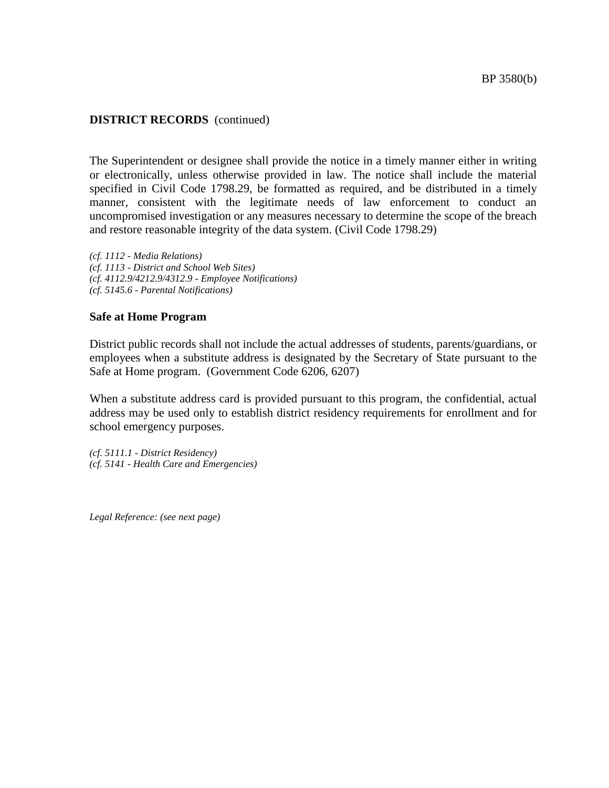The Superintendent or designee shall provide the notice in a timely manner either in writing or electronically, unless otherwise provided in law. The notice shall include the material specified in Civil Code 1798.29, be formatted as required, and be distributed in a timely manner, consistent with the legitimate needs of law enforcement to conduct an uncompromised investigation or any measures necessary to determine the scope of the breach and restore reasonable integrity of the data system. (Civil Code 1798.29)

*(cf. 1112 - Media Relations) (cf. 1113 - District and School Web Sites) (cf. 4112.9/4212.9/4312.9 - Employee Notifications) (cf. 5145.6 - Parental Notifications)*

### **Safe at Home Program**

District public records shall not include the actual addresses of students, parents/guardians, or employees when a substitute address is designated by the Secretary of State pursuant to the Safe at Home program. (Government Code 6206, 6207)

When a substitute address card is provided pursuant to this program, the confidential, actual address may be used only to establish district residency requirements for enrollment and for school emergency purposes.

*(cf. 5111.1 - District Residency) (cf. 5141 - Health Care and Emergencies)*

*Legal Reference: (see next page)*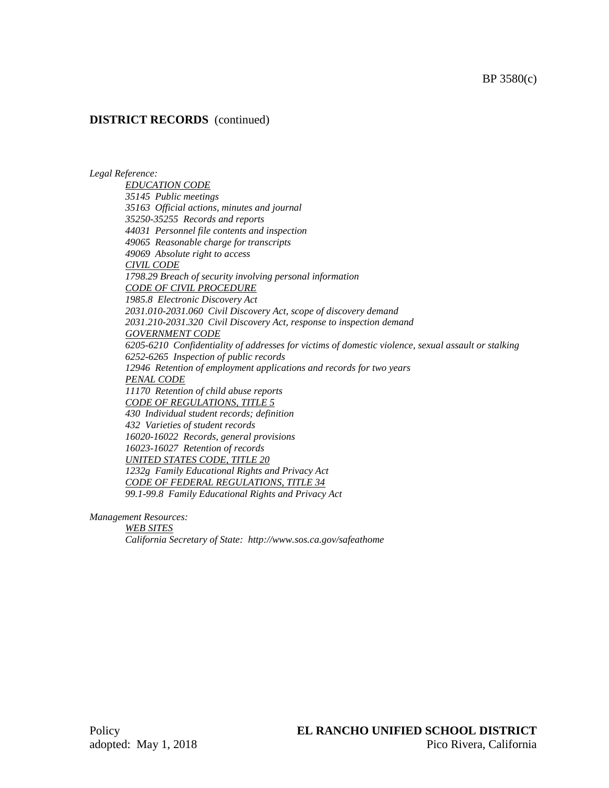#### *Legal Reference:*

*EDUCATION CODE 35145 Public meetings 35163 Official actions, minutes and journal 35250-35255 Records and reports 44031 Personnel file contents and inspection 49065 Reasonable charge for transcripts 49069 Absolute right to access CIVIL CODE 1798.29 Breach of security involving personal information CODE OF CIVIL PROCEDURE 1985.8 Electronic Discovery Act 2031.010-2031.060 Civil Discovery Act, scope of discovery demand 2031.210-2031.320 Civil Discovery Act, response to inspection demand GOVERNMENT CODE 6205-6210 Confidentiality of addresses for victims of domestic violence, sexual assault or stalking 6252-6265 Inspection of public records 12946 Retention of employment applications and records for two years PENAL CODE 11170 Retention of child abuse reports CODE OF REGULATIONS, TITLE 5 430 Individual student records; definition 432 Varieties of student records 16020-16022 Records, general provisions 16023-16027 Retention of records UNITED STATES CODE, TITLE 20 1232g Family Educational Rights and Privacy Act CODE OF FEDERAL REGULATIONS, TITLE 34 99.1-99.8 Family Educational Rights and Privacy Act*

*Management Resources:*

*WEB SITES California Secretary of State: http://www.sos.ca.gov/safeathome*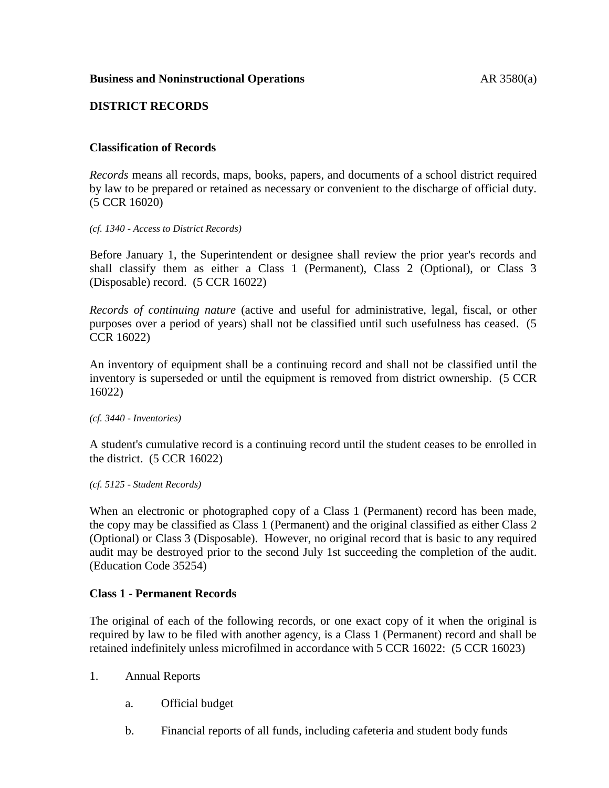# **DISTRICT RECORDS**

# **Classification of Records**

*Records* means all records, maps, books, papers, and documents of a school district required by law to be prepared or retained as necessary or convenient to the discharge of official duty. (5 CCR 16020)

*(cf. 1340 - Access to District Records)*

Before January 1, the Superintendent or designee shall review the prior year's records and shall classify them as either a Class 1 (Permanent), Class 2 (Optional), or Class 3 (Disposable) record. (5 CCR 16022)

*Records of continuing nature* (active and useful for administrative, legal, fiscal, or other purposes over a period of years) shall not be classified until such usefulness has ceased. (5 CCR 16022)

An inventory of equipment shall be a continuing record and shall not be classified until the inventory is superseded or until the equipment is removed from district ownership. (5 CCR 16022)

*(cf. 3440 - Inventories)*

A student's cumulative record is a continuing record until the student ceases to be enrolled in the district. (5 CCR 16022)

*(cf. 5125 - Student Records)*

When an electronic or photographed copy of a Class 1 (Permanent) record has been made, the copy may be classified as Class 1 (Permanent) and the original classified as either Class 2 (Optional) or Class 3 (Disposable). However, no original record that is basic to any required audit may be destroyed prior to the second July 1st succeeding the completion of the audit. (Education Code 35254)

# **Class 1 - Permanent Records**

The original of each of the following records, or one exact copy of it when the original is required by law to be filed with another agency, is a Class 1 (Permanent) record and shall be retained indefinitely unless microfilmed in accordance with 5 CCR 16022: (5 CCR 16023)

- 1. Annual Reports
	- a. Official budget
	- b. Financial reports of all funds, including cafeteria and student body funds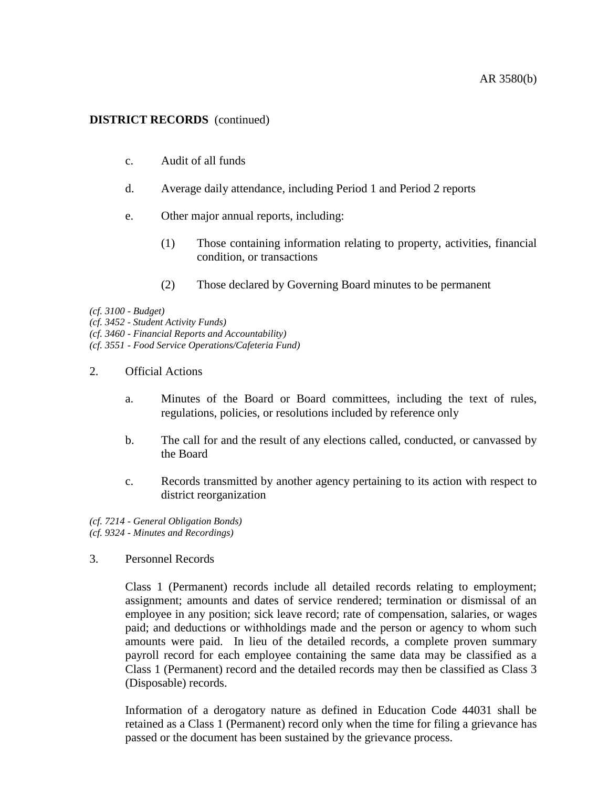- c. Audit of all funds
- d. Average daily attendance, including Period 1 and Period 2 reports
- e. Other major annual reports, including:
	- (1) Those containing information relating to property, activities, financial condition, or transactions
	- (2) Those declared by Governing Board minutes to be permanent

*(cf. 3100 - Budget)*

*(cf. 3452 - Student Activity Funds)*

*(cf. 3460 - Financial Reports and Accountability)*

*(cf. 3551 - Food Service Operations/Cafeteria Fund)*

- 2. Official Actions
	- a. Minutes of the Board or Board committees, including the text of rules, regulations, policies, or resolutions included by reference only
	- b. The call for and the result of any elections called, conducted, or canvassed by the Board
	- c. Records transmitted by another agency pertaining to its action with respect to district reorganization

*(cf. 7214 - General Obligation Bonds) (cf. 9324 - Minutes and Recordings)*

3. Personnel Records

Class 1 (Permanent) records include all detailed records relating to employment; assignment; amounts and dates of service rendered; termination or dismissal of an employee in any position; sick leave record; rate of compensation, salaries, or wages paid; and deductions or withholdings made and the person or agency to whom such amounts were paid. In lieu of the detailed records, a complete proven summary payroll record for each employee containing the same data may be classified as a Class 1 (Permanent) record and the detailed records may then be classified as Class 3 (Disposable) records.

Information of a derogatory nature as defined in Education Code 44031 shall be retained as a Class 1 (Permanent) record only when the time for filing a grievance has passed or the document has been sustained by the grievance process.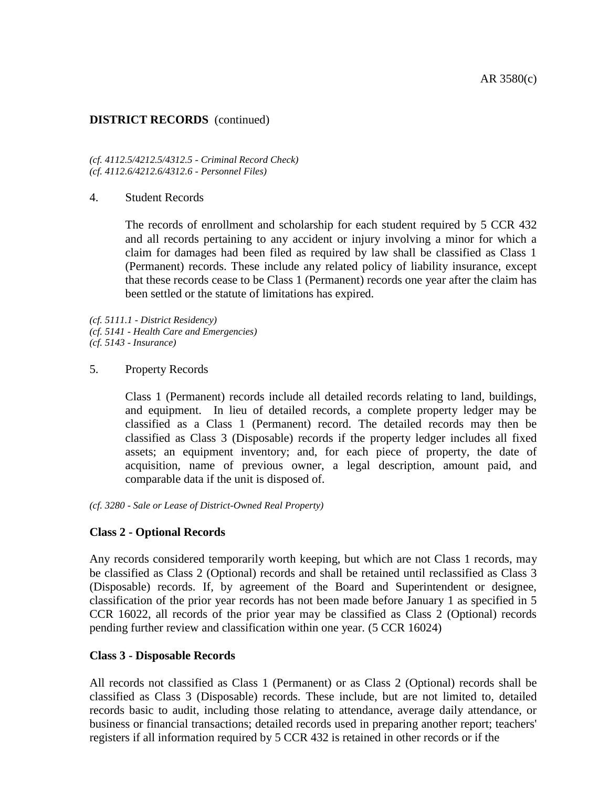*(cf. 4112.5/4212.5/4312.5 - Criminal Record Check) (cf. 4112.6/4212.6/4312.6 - Personnel Files)*

### 4. Student Records

The records of enrollment and scholarship for each student required by 5 CCR 432 and all records pertaining to any accident or injury involving a minor for which a claim for damages had been filed as required by law shall be classified as Class 1 (Permanent) records. These include any related policy of liability insurance, except that these records cease to be Class 1 (Permanent) records one year after the claim has been settled or the statute of limitations has expired.

*(cf. 5111.1 - District Residency) (cf. 5141 - Health Care and Emergencies) (cf. 5143 - Insurance)*

### 5. Property Records

Class 1 (Permanent) records include all detailed records relating to land, buildings, and equipment. In lieu of detailed records, a complete property ledger may be classified as a Class 1 (Permanent) record. The detailed records may then be classified as Class 3 (Disposable) records if the property ledger includes all fixed assets; an equipment inventory; and, for each piece of property, the date of acquisition, name of previous owner, a legal description, amount paid, and comparable data if the unit is disposed of.

*(cf. 3280 - Sale or Lease of District-Owned Real Property)*

### **Class 2 - Optional Records**

Any records considered temporarily worth keeping, but which are not Class 1 records, may be classified as Class 2 (Optional) records and shall be retained until reclassified as Class 3 (Disposable) records. If, by agreement of the Board and Superintendent or designee, classification of the prior year records has not been made before January 1 as specified in 5 CCR 16022, all records of the prior year may be classified as Class 2 (Optional) records pending further review and classification within one year. (5 CCR 16024)

### **Class 3 - Disposable Records**

All records not classified as Class 1 (Permanent) or as Class 2 (Optional) records shall be classified as Class 3 (Disposable) records. These include, but are not limited to, detailed records basic to audit, including those relating to attendance, average daily attendance, or business or financial transactions; detailed records used in preparing another report; teachers' registers if all information required by 5 CCR 432 is retained in other records or if the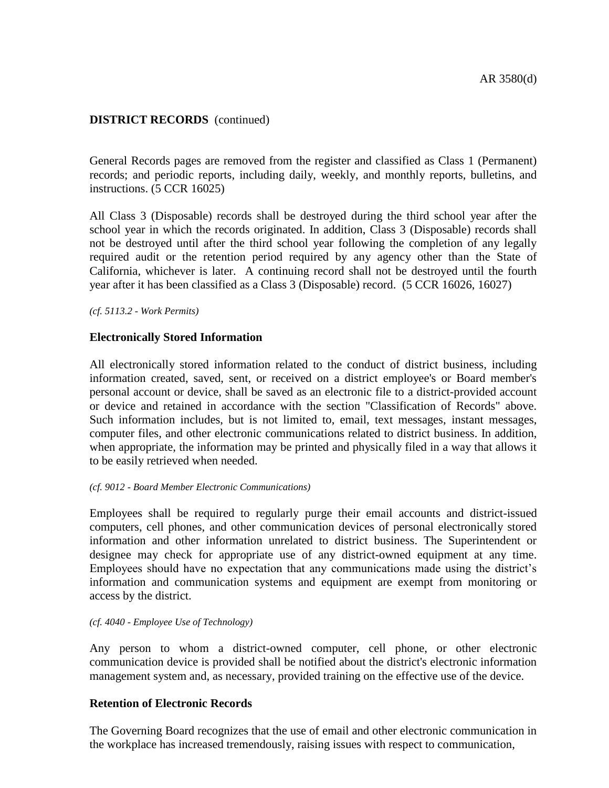General Records pages are removed from the register and classified as Class 1 (Permanent) records; and periodic reports, including daily, weekly, and monthly reports, bulletins, and instructions. (5 CCR 16025)

All Class 3 (Disposable) records shall be destroyed during the third school year after the school year in which the records originated. In addition, Class 3 (Disposable) records shall not be destroyed until after the third school year following the completion of any legally required audit or the retention period required by any agency other than the State of California, whichever is later. A continuing record shall not be destroyed until the fourth year after it has been classified as a Class 3 (Disposable) record. (5 CCR 16026, 16027)

*(cf. 5113.2 - Work Permits)*

## **Electronically Stored Information**

All electronically stored information related to the conduct of district business, including information created, saved, sent, or received on a district employee's or Board member's personal account or device, shall be saved as an electronic file to a district-provided account or device and retained in accordance with the section "Classification of Records" above. Such information includes, but is not limited to, email, text messages, instant messages, computer files, and other electronic communications related to district business. In addition, when appropriate, the information may be printed and physically filed in a way that allows it to be easily retrieved when needed.

### *(cf. 9012 - Board Member Electronic Communications)*

Employees shall be required to regularly purge their email accounts and district-issued computers, cell phones, and other communication devices of personal electronically stored information and other information unrelated to district business. The Superintendent or designee may check for appropriate use of any district-owned equipment at any time. Employees should have no expectation that any communications made using the district's information and communication systems and equipment are exempt from monitoring or access by the district.

#### *(cf. 4040 - Employee Use of Technology)*

Any person to whom a district-owned computer, cell phone, or other electronic communication device is provided shall be notified about the district's electronic information management system and, as necessary, provided training on the effective use of the device.

# **Retention of Electronic Records**

The Governing Board recognizes that the use of email and other electronic communication in the workplace has increased tremendously, raising issues with respect to communication,